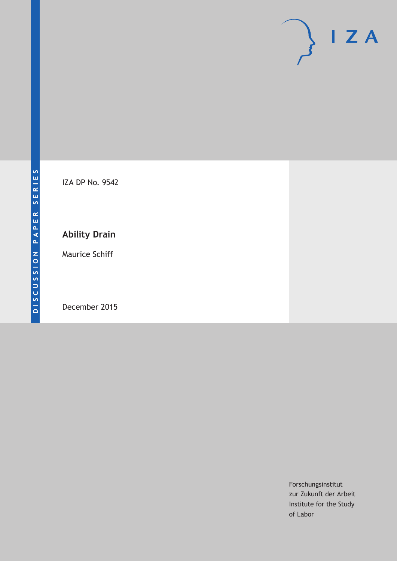

IZA DP No. 9542

### **Ability Drain**

Maurice Schiff

December 2015

Forschungsinstitut zur Zukunft der Arbeit Institute for the Study of Labor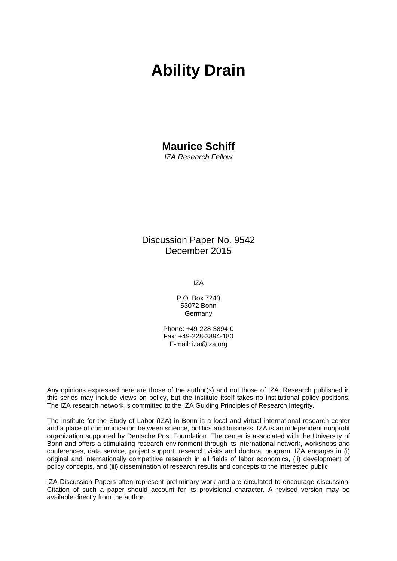# **Ability Drain**

# **Maurice Schiff**

*IZA Research Fellow* 

Discussion Paper No. 9542 December 2015

IZA

P.O. Box 7240 53072 Bonn Germany

Phone: +49-228-3894-0 Fax: +49-228-3894-180 E-mail: iza@iza.org

Any opinions expressed here are those of the author(s) and not those of IZA. Research published in this series may include views on policy, but the institute itself takes no institutional policy positions. The IZA research network is committed to the IZA Guiding Principles of Research Integrity.

The Institute for the Study of Labor (IZA) in Bonn is a local and virtual international research center and a place of communication between science, politics and business. IZA is an independent nonprofit organization supported by Deutsche Post Foundation. The center is associated with the University of Bonn and offers a stimulating research environment through its international network, workshops and conferences, data service, project support, research visits and doctoral program. IZA engages in (i) original and internationally competitive research in all fields of labor economics, (ii) development of policy concepts, and (iii) dissemination of research results and concepts to the interested public.

IZA Discussion Papers often represent preliminary work and are circulated to encourage discussion. Citation of such a paper should account for its provisional character. A revised version may be available directly from the author.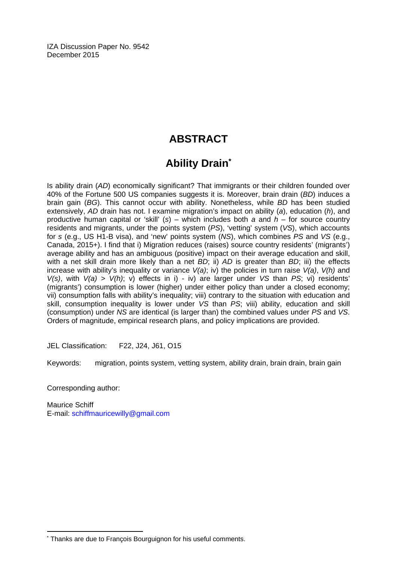IZA Discussion Paper No. 9542 December 2015

### **ABSTRACT**

## **Ability Drain\***

Is ability drain (*AD*) economically significant? That immigrants or their children founded over 40% of the Fortune 500 US companies suggests it is. Moreover, brain drain (*BD*) induces a brain gain (*BG*). This cannot occur with ability. Nonetheless, while *BD* has been studied extensively, *AD* drain has not. I examine migration's impact on ability (*a*), education (*h*), and productive human capital or 'skill' (*s*) – which includes both *a* and *h* – for source country residents and migrants, under the points system (*PS*), 'vetting' system (*VS*), which accounts for *s* (e.g., US H1-B visa), and 'new' points system (*NS*), which combines *PS* and *VS* (e.g., Canada, 2015+). I find that i) Migration reduces (raises) source country residents' (migrants') average ability and has an ambiguous (positive) impact on their average education and skill, with a net skill drain more likely than a net *BD*; ii) *AD* is greater than *BD*; iii) the effects increase with ability's inequality or variance *V(a)*; iv) the policies in turn raise *V(a)*, *V(h)* and *V(s)*, with *V(a) > V(h)*; v) effects in i) - iv) are larger under *VS* than *PS*; vi) residents' (migrants') consumption is lower (higher) under either policy than under a closed economy; vii) consumption falls with ability's inequality; viii) contrary to the situation with education and skill, consumption inequality is lower under *VS* than *PS*; viii) ability, education and skill (consumption) under *NS* are identical (is larger than) the combined values under *PS* and *VS*. Orders of magnitude, empirical research plans, and policy implications are provided.

JEL Classification: F22, J24, J61, O15

Keywords: migration, points system, vetting system, ability drain, brain drain, brain gain

Corresponding author:

 $\overline{\phantom{a}}$ 

Maurice Schiff E-mail: schiffmauricewilly@gmail.com

<sup>\*</sup> Thanks are due to François Bourguignon for his useful comments.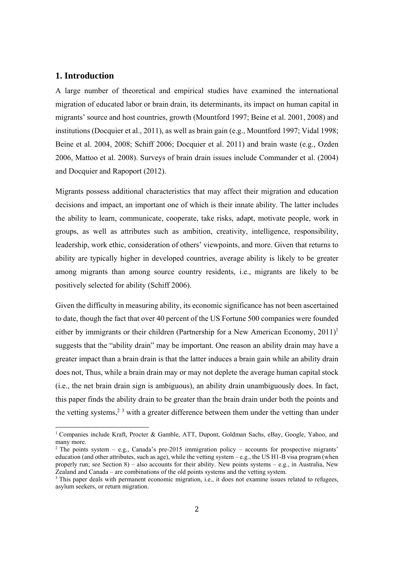#### **1. Introduction**

 

A large number of theoretical and empirical studies have examined the international migration of educated labor or brain drain, its determinants, its impact on human capital in migrants' source and host countries, growth (Mountford 1997; Beine et al. 2001, 2008) and institutions (Docquier et al., 2011), as well as brain gain (e.g., Mountford 1997; Vidal 1998; Beine et al. 2004, 2008; Schiff 2006; Docquier et al. 2011) and brain waste (e.g., Ozden 2006, Mattoo et al. 2008). Surveys of brain drain issues include Commander et al. (2004) and Docquier and Rapoport (2012).

Migrants possess additional characteristics that may affect their migration and education decisions and impact, an important one of which is their innate ability. The latter includes the ability to learn, communicate, cooperate, take risks, adapt, motivate people, work in groups, as well as attributes such as ambition, creativity, intelligence, responsibility, leadership, work ethic, consideration of others' viewpoints, and more. Given that returns to ability are typically higher in developed countries, average ability is likely to be greater among migrants than among source country residents, i.e., migrants are likely to be positively selected for ability (Schiff 2006).

Given the difficulty in measuring ability, its economic significance has not been ascertained to date, though the fact that over 40 percent of the US Fortune 500 companies were founded either by immigrants or their children (Partnership for a New American Economy,  $2011$ )<sup>1</sup> suggests that the "ability drain" may be important. One reason an ability drain may have a greater impact than a brain drain is that the latter induces a brain gain while an ability drain does not, Thus, while a brain drain may or may not deplete the average human capital stock (i.e., the net brain drain sign is ambiguous), an ability drain unambiguously does. In fact, this paper finds the ability drain to be greater than the brain drain under both the points and the vetting systems,<sup>23</sup> with a greater difference between them under the vetting than under

<sup>&</sup>lt;sup>1</sup> Companies include Kraft, Procter & Gamble, ATT, Dupont, Goldman Sachs, eBay, Google, Yahoo, and many more.

 $2$  The points system – e.g., Canada's pre-2015 immigration policy – accounts for prospective migrants' education (and other attributes, such as age), while the vetting system – e.g., the US H1-B visa program (when properly run; see Section 8) – also accounts for their ability. New points systems – e.g., in Australia, New Zealand and Canada – are combinations of the old points systems and the vetting system.

<sup>&</sup>lt;sup>3</sup> This paper deals with permanent economic migration, i.e., it does not examine issues related to refugees, asylum seekers, or return migration.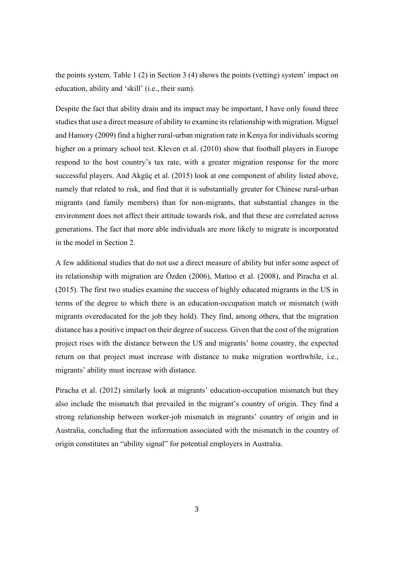the points system. Table 1 (2) in Section 3 (4) shows the points (vetting) system' impact on education, ability and 'skill' (i.e., their sum).

Despite the fact that ability drain and its impact may be important, I have only found three studies that use a direct measure of ability to examine its relationship with migration. Miguel and Hamory (2009) find a higher rural-urban migration rate in Kenya for individuals scoring higher on a primary school test. Kleven et al. (2010) show that football players in Europe respond to the host country's tax rate, with a greater migration response for the more successful players. And Akgüç et al. (2015) look at one component of ability listed above, namely that related to risk, and find that it is substantially greater for Chinese rural-urban migrants (and family members) than for non-migrants, that substantial changes in the environment does not affect their attitude towards risk, and that these are correlated across generations. The fact that more able individuals are more likely to migrate is incorporated in the model in Section 2.

A few additional studies that do not use a direct measure of ability but infer some aspect of its relationship with migration are Özden (2006), Mattoo et al. (2008), and Piracha et al. (2015). The first two studies examine the success of highly educated migrants in the US in terms of the degree to which there is an education-occupation match or mismatch (with migrants overeducated for the job they hold). They find, among others, that the migration distance has a positive impact on their degree of success. Given that the cost of the migration project rises with the distance between the US and migrants' home country, the expected return on that project must increase with distance to make migration worthwhile, i.e., migrants' ability must increase with distance.

Piracha et al. (2012) similarly look at migrants' education-occupation mismatch but they also include the mismatch that prevailed in the migrant's country of origin. They find a strong relationship between worker-job mismatch in migrants' country of origin and in Australia, concluding that the information associated with the mismatch in the country of origin constitutes an "ability signal" for potential employers in Australia.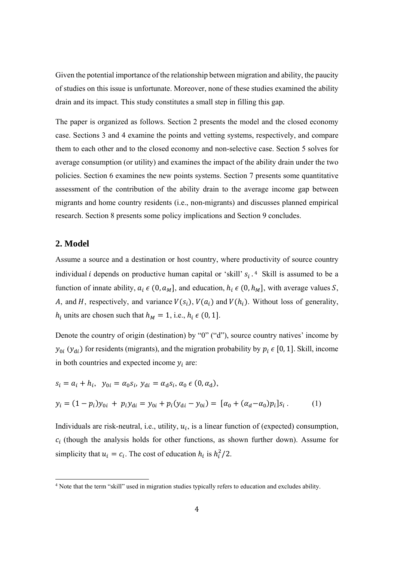Given the potential importance of the relationship between migration and ability, the paucity of studies on this issue is unfortunate. Moreover, none of these studies examined the ability drain and its impact. This study constitutes a small step in filling this gap.

The paper is organized as follows. Section 2 presents the model and the closed economy case. Sections 3 and 4 examine the points and vetting systems, respectively, and compare them to each other and to the closed economy and non-selective case. Section 5 solves for average consumption (or utility) and examines the impact of the ability drain under the two policies. Section 6 examines the new points systems. Section 7 presents some quantitative assessment of the contribution of the ability drain to the average income gap between migrants and home country residents (i.e., non-migrants) and discusses planned empirical research. Section 8 presents some policy implications and Section 9 concludes.

#### 2. Model

Assume a source and a destination or host country, where productivity of source country individual *i* depends on productive human capital or 'skill'  $s_i$ .<sup>4</sup> Skill is assumed to be a function of innate ability,  $a_i \in (0, a_M]$ , and education,  $h_i \in (0, h_M]$ , with average values S, A, and H, respectively, and variance  $V(s_i)$ ,  $V(a_i)$  and  $V(h_i)$ . Without loss of generality,  $h_i$  units are chosen such that  $h_M = 1$ , i.e.,  $h_i \in (0, 1]$ .

Denote the country of origin (destination) by "0" ("d"), source country natives' income by  $y_{0i}$  ( $y_{di}$ ) for residents (migrants), and the migration probability by  $p_i \in [0, 1]$ . Skill, income in both countries and expected income  $y_i$  are:

$$
s_i = a_i + h_i, \ y_{0i} = \alpha_0 s_i, \ y_{di} = \alpha_d s_i, \alpha_0 \in (0, \alpha_d),
$$
  

$$
y_i = (1 - p_i)y_{0i} + p_i y_{di} = y_{0i} + p_i(y_{di} - y_{0i}) = [\alpha_0 + (\alpha_d - \alpha_0)p_i]s_i.
$$
 (1)

Individuals are risk-neutral, i.e., utility,  $u_i$ , is a linear function of (expected) consumption,  $c_i$  (though the analysis holds for other functions, as shown further down). Assume for simplicity that  $u_i = c_i$ . The cost of education  $h_i$  is  $h_i^2/2$ .

<sup>&</sup>lt;sup>4</sup> Note that the term "skill" used in migration studies typically refers to education and excludes ability.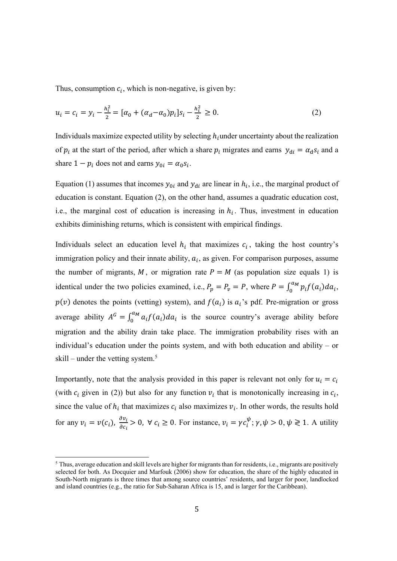Thus, consumption  $c_i$ , which is non-negative, is given by:

$$
u_i = c_i = y_i - \frac{h_i^2}{2} = [\alpha_0 + (\alpha_d - \alpha_0)p_i]s_i - \frac{h_i^2}{2} \ge 0.
$$
 (2)

Individuals maximize expected utility by selecting  $h_i$  under uncertainty about the realization of  $p_i$  at the start of the period, after which a share  $p_i$  migrates and earns  $y_{di} = \alpha_d s_i$  and a share  $1 - p_i$  does not and earns  $y_{0i} = \alpha_0 s_i$ .

Equation (1) assumes that incomes  $y_{0i}$  and  $y_{di}$  are linear in  $h_i$ , i.e., the marginal product of education is constant. Equation (2), on the other hand, assumes a quadratic education cost, i.e., the marginal cost of education is increasing in  $h_i$ . Thus, investment in education exhibits diminishing returns, which is consistent with empirical findings.

Individuals select an education level  $h_i$  that maximizes  $c_i$ , taking the host country's immigration policy and their innate ability,  $a_i$ , as given. For comparison purposes, assume the number of migrants, M, or migration rate  $P = M$  (as population size equals 1) is identical under the two policies examined, i.e.,  $P_p = P_v = P$ , where  $P = \int_0^{a_M} p_i f(a_i) da_i$ ,  $p(v)$  denotes the points (vetting) system), and  $f(a_i)$  is  $a_i$ 's pdf. Pre-migration or gross average ability  $A^G = \int_0^{a_M} a_i f(a_i) da_i$  is the source country's average ability before migration and the ability drain take place. The immigration probability rises with an individual's education under the points system, and with both education and ability  $-$  or skill – under the vetting system.<sup>5</sup>

Importantly, note that the analysis provided in this paper is relevant not only for  $u_i = c_i$ (with  $c_i$  given in (2)) but also for any function  $v_i$  that is monotonically increasing in  $c_i$ , since the value of  $h_i$  that maximizes  $c_i$  also maximizes  $v_i$ . In other words, the results hold for any  $v_i = v(c_i)$ ,  $\frac{\partial v_i}{\partial c_i} > 0$ ,  $\forall c_i \ge 0$ . For instance,  $v_i = \gamma c_i^{\psi}$ ;  $\gamma, \psi > 0$ ,  $\psi \ge 1$ . A utility

<sup>&</sup>lt;sup>5</sup> Thus, average education and skill levels are higher for migrants than for residents, i.e., migrants are positively selected for both. As Docquier and Marfouk (2006) show for education, the share of the highly educated in South-North migrants is three times that among source countries' residents, and larger for poor, landlocked and island countries (e.g., the ratio for Sub-Saharan Africa is 15, and is larger for the Caribbean).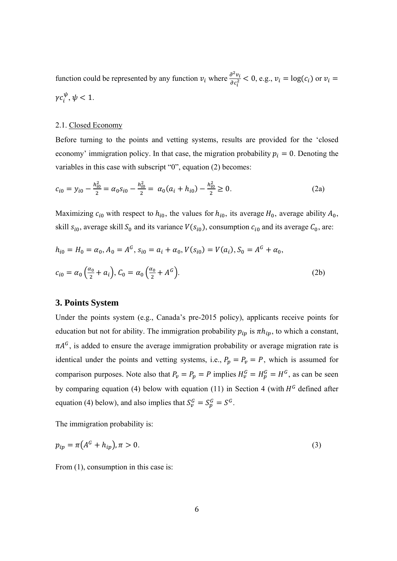function could be represented by any function  $v_i$  where  $\frac{\partial^2 v_i}{\partial c_i^2} < 0$ , e.g.,  $v_i = \log(c_i)$  or  $v_i =$  $\gamma c_i^{\psi}, \psi < 1.$ 

#### 2.1. Closed Economy

Before turning to the points and vetting systems, results are provided for the 'closed economy' immigration policy. In that case, the migration probability  $p_i = 0$ . Denoting the variables in this case with subscript "0", equation (2) becomes:

$$
c_{i0} = y_{i0} - \frac{h_{i0}^2}{2} = \alpha_0 s_{i0} - \frac{h_{i0}^2}{2} = \alpha_0 (a_i + h_{i0}) - \frac{h_{i0}^2}{2} \ge 0.
$$
 (2a)

Maximizing  $c_{i0}$  with respect to  $h_{i0}$ , the values for  $h_{i0}$ , its average  $H_0$ , average ability  $A_0$ , skill  $s_{i0}$ , average skill  $S_0$  and its variance  $V(s_{i0})$ , consumption  $c_{i0}$  and its average  $C_0$ , are:

$$
h_{i0} = H_0 = \alpha_0, A_0 = A^G, s_{i0} = a_i + \alpha_0, V(s_{i0}) = V(a_i), S_0 = A^G + \alpha_0,
$$
  

$$
c_{i0} = \alpha_0 \left(\frac{\alpha_0}{2} + a_i\right), C_0 = \alpha_0 \left(\frac{\alpha_0}{2} + A^G\right).
$$
 (2b)

#### **3. Points System**

Under the points system (e.g., Canada's pre-2015 policy), applicants receive points for education but not for ability. The immigration probability  $p_{ip}$  is  $\pi h_{ip}$ , to which a constant,  $\pi A^G$ , is added to ensure the average immigration probability or average migration rate is identical under the points and vetting systems, i.e.,  $P_p = P_v = P$ , which is assumed for comparison purposes. Note also that  $P_{v} = P_{p} = P$  implies  $H_{v}^{G} = H_{p}^{G} = H^{G}$ , as can be seen by comparing equation (4) below with equation (11) in Section 4 (with  $H^G$  defined after equation (4) below), and also implies that  $S_p^G = S_p^G = S^G$ .

The immigration probability is:

$$
p_{ip} = \pi (A^G + h_{ip}), \pi > 0.
$$
 (3)

From  $(1)$ , consumption in this case is: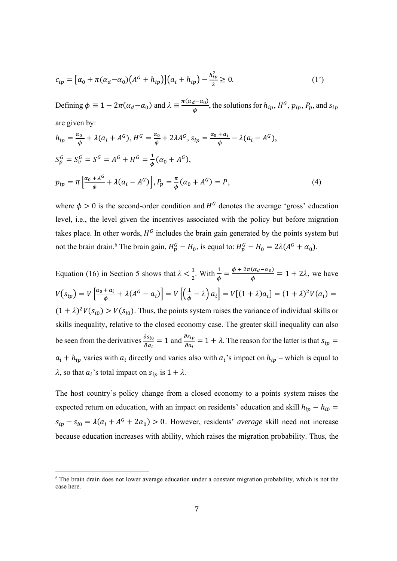$$
c_{ip} = \left[ \alpha_0 + \pi (\alpha_d - \alpha_0) \left( A^G + h_{ip} \right) \right] \left( a_i + h_{ip} \right) - \frac{h_{ip}^2}{2} \ge 0. \tag{1'}
$$

Defining  $\phi \equiv 1 - 2\pi(\alpha_d - \alpha_0)$  and  $\lambda \equiv \frac{\pi(\alpha_d - \alpha_0)}{\phi}$ , the solutions for  $h_{ip}$ ,  $H^G$ ,  $p_{ip}$ ,  $P_p$ , and  $s_{ip}$ are given by:

$$
h_{ip} = \frac{\alpha_0}{\phi} + \lambda(a_i + A^G), H^G = \frac{\alpha_0}{\phi} + 2\lambda A^G, s_{ip} = \frac{\alpha_0 + a_i}{\phi} - \lambda(a_i - A^G),
$$
  
\n
$$
S_p^G = S_v^G = S^G = A^G + H^G = \frac{1}{\phi}(\alpha_0 + A^G),
$$
  
\n
$$
p_{ip} = \pi \left[ \frac{\alpha_0 + A^G}{\phi} + \lambda(a_i - A^G) \right], P_p = \frac{\pi}{\phi}(\alpha_0 + A^G) = P,
$$
\n(4)

where  $\phi > 0$  is the second-order condition and  $H^G$  denotes the average 'gross' education level, i.e., the level given the incentives associated with the policy but before migration takes place. In other words,  $H^G$  includes the brain gain generated by the points system but not the brain drain.<sup>6</sup> The brain gain,  $H_p^G - H_0$ , is equal to:  $H_p^G - H_0 = 2\lambda(A^G + \alpha_0)$ .

Equation (16) in Section 5 shows that  $\lambda < \frac{1}{2}$ . With  $\frac{1}{\phi} = \frac{\phi + 2\pi(\alpha_d - \alpha_0)}{\phi} = 1 + 2\lambda$ , we have  $V(s_{ip}) = V \left[ \frac{\alpha_0 + a_i}{\phi} + \lambda (A^G - a_i) \right] = V \left[ \left( \frac{1}{\phi} - \lambda \right) a_i \right] = V[(1 + \lambda)a_i] = (1 + \lambda)^2 V(a_i) =$  $(1 + \lambda)^2 V(s_{i0}) > V(s_{i0})$ . Thus, the points system raises the variance of individual skills or skills inequality, relative to the closed economy case. The greater skill inequality can also be seen from the derivatives  $\frac{\partial s_{io}}{\partial a_i} = 1$  and  $\frac{\partial s_{ip}}{\partial a_i} = 1 + \lambda$ . The reason for the latter is that  $s_{ip} =$  $a_i + h_{ip}$  varies with  $a_i$  directly and varies also with  $a_i$ 's impact on  $h_{ip}$  – which is equal to  $\lambda$ , so that  $a_i$ 's total impact on  $s_{ip}$  is  $1 + \lambda$ .

The host country's policy change from a closed economy to a points system raises the expected return on education, with an impact on residents' education and skill  $h_{ip} - h_{i0} =$  $s_{ip} - s_{i0} = \lambda(a_i + A^2 + 2a_0) > 0$ . However, residents' *average* skill need not increase because education increases with ability, which raises the migration probability. Thus, the

 

<sup>&</sup>lt;sup>6</sup> The brain drain does not lower average education under a constant migration probability, which is not the case here.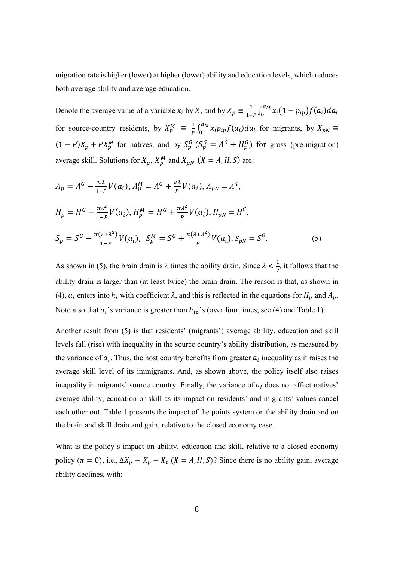migration rate is higher (lower) at higher (lower) ability and education levels, which reduces both average ability and average education.

Denote the average value of a variable  $x_i$  by X, and by  $X_p \equiv \frac{1}{1-p} \int_0^{a_M} x_i (1-p_{ip}) f(a_i) da_i$  $\bf{0}$ for source-country residents, by  $X_p^M \equiv \frac{1}{p} \int_0^{a_M} x_i p_{ip} f(a_i) da_i$  $\int_0^{a_M} x_i p_{ip} f(a_i) da_i$  for migrants, by  $X_{pN} \equiv$  $(1 - P)X_p + PX_p^M$  for natives, and by  $S_p^G$   $(S_p^G = A^G + H_p^G)$  for gross (pre-migration) average skill. Solutions for  $X_p$ ,  $X_p^M$  and  $X_{pN}$   $(X = A, H, S)$  are:

$$
A_p = A^G - \frac{\pi \lambda}{1 - P} V(a_i), A_p^M = A^G + \frac{\pi \lambda}{P} V(a_i), A_{pN} = A^G,
$$
  
\n
$$
H_p = H^G - \frac{\pi \lambda^2}{1 - P} V(a_i), H_p^M = H^G + \frac{\pi \lambda^2}{P} V(a_i), H_{pN} = H^G,
$$
  
\n
$$
S_p = S^G - \frac{\pi (\lambda + \lambda^2)}{1 - P} V(a_i), S_p^M = S^G + \frac{\pi (\lambda + \lambda^2)}{P} V(a_i), S_{pN} = S^G.
$$
\n(5)

As shown in (5), the brain drain is  $\lambda$  times the ability drain. Since  $\lambda < \frac{1}{2}$ , it follows that the ability drain is larger than (at least twice) the brain drain. The reason is that, as shown in (4),  $a_i$  enters into  $h_i$  with coefficient  $\lambda$ , and this is reflected in the equations for  $H_p$  and  $A_p$ . Note also that  $a_i$ 's variance is greater than  $h_{i}$ 's (over four times; see (4) and Table 1).

Another result from (5) is that residents' (migrants') average ability, education and skill levels fall (rise) with inequality in the source country's ability distribution, as measured by the variance of  $a_i$ . Thus, the host country benefits from greater  $a_i$  inequality as it raises the average skill level of its immigrants. And, as shown above, the policy itself also raises inequality in migrants' source country. Finally, the variance of  $a_i$  does not affect natives' average ability, education or skill as its impact on residents' and migrants' values cancel each other out. Table 1 presents the impact of the points system on the ability drain and on the brain and skill drain and gain, relative to the closed economy case.

What is the policy's impact on ability, education and skill, relative to a closed economy policy ( $\pi = 0$ ), i.e.,  $\Delta X_p \equiv X_p - X_0$  ( $X = A, H, S$ )? Since there is no ability gain, average ability declines, with: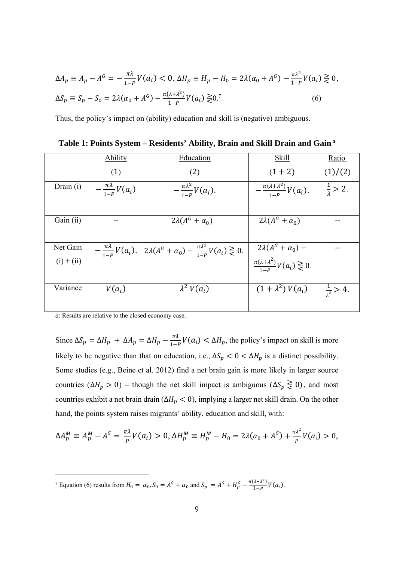$$
\Delta A_p \equiv A_p - A^G = -\frac{\pi \lambda}{1 - P} V(a_i) < 0, \, \Delta H_p \equiv H_p - H_0 = 2\lambda (\alpha_0 + A^G) - \frac{\pi \lambda^2}{1 - P} V(a_i) \geq 0,
$$
\n
$$
\Delta S_p \equiv S_p - S_0 = 2\lambda (\alpha_0 + A^G) - \frac{\pi (\lambda + \lambda^2)}{1 - P} V(a_i) \geq 0. \tag{6}
$$

Thus, the policy's impact on (ability) education and skill is (negative) ambiguous.

|                          | <b>Ability</b>                  | Education                                                                                         | <b>Skill</b>                                                                           | Ratio                       |
|--------------------------|---------------------------------|---------------------------------------------------------------------------------------------------|----------------------------------------------------------------------------------------|-----------------------------|
|                          | (1)                             | (2)                                                                                               | $(1 + 2)$                                                                              | (1)/(2)                     |
| Drain (i)                | $-\frac{\pi\lambda}{1-P}V(a_i)$ | $-\frac{\pi\lambda^2}{1-p}V(a_i).$                                                                | $-\frac{\pi(\lambda+\lambda^2)}{1-p}V(a_i).$                                           | $\frac{1}{2}$ > 2.          |
| Gain (ii)                |                                 | $2\lambda(A^G+\alpha_0)$                                                                          | $2\lambda(A^G+\alpha_0)$                                                               |                             |
| Net Gain<br>$(i) + (ii)$ |                                 | $-\frac{\pi\lambda}{1-P}V(a_i)$ . $2\lambda(A^G+\alpha_0)-\frac{\pi\lambda^2}{1-P}V(a_i)\geq 0$ . | $2\lambda(A^G + \alpha_0)$ –<br>$\frac{\pi(\lambda + \lambda^2)}{1 - P} V(a_i) \ge 0.$ |                             |
| Variance                 | $V(a_i)$                        | $\lambda^2 V(a_i)$                                                                                | $(1 + \lambda^2) V(a_i)$                                                               | $\frac{1}{\lambda^2} > 4$ . |

| Table 1: Points System - Residents' Ability, Brain and Skill Drain and Gain <sup>a</sup> |  |  |  |
|------------------------------------------------------------------------------------------|--|--|--|
|                                                                                          |  |  |  |

*a*: Results are relative to the closed economy case.

 

Since  $\Delta S_p = \Delta H_p + \Delta A_p = \Delta H_p - \frac{\pi \lambda}{1 - P} V(a_i) < \Delta H_p$ , the policy's impact on skill is more likely to be negative than that on education, i.e.,  $\Delta S_p < 0 < \Delta H_p$  is a distinct possibility. Some studies (e.g., Beine et al. 2012) find a net brain gain is more likely in larger source countries ( $\Delta H_p > 0$ ) – though the net skill impact is ambiguous ( $\Delta S_p \geq 0$ ), and most countries exhibit a net brain drain ( $\Delta H_p < 0$ ), implying a larger net skill drain. On the other hand, the points system raises migrants' ability, education and skill, with:

$$
\Delta A_p^M \equiv A_p^M - A^G = \frac{\pi \lambda}{p} V(a_i) > 0, \, \Delta H_p^M \equiv H_p^M - H_0 = 2\lambda (\alpha_0 + A^G) + \frac{\pi \lambda^2}{p} V(a_i) > 0,
$$

<sup>7</sup> Equation (6) results from  $H_0 = \alpha_0$ ,  $S_0 = A^G + \alpha_0$  and  $S_p = A^G + H_p^G - \frac{\pi(\lambda + \lambda^2)}{1 - p} V(a_i)$ .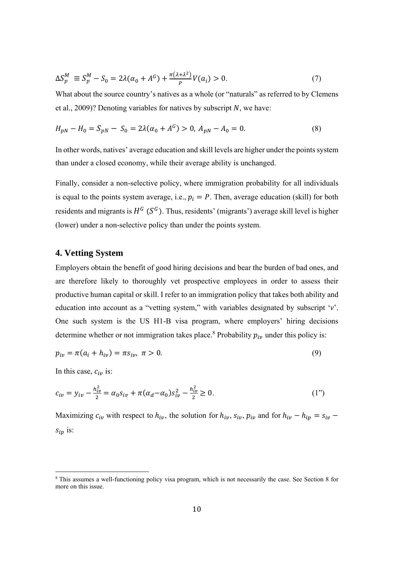$$
\Delta S_p^M \equiv S_p^M - S_0 = 2\lambda(\alpha_0 + A^G) + \frac{\pi(\lambda + \lambda^2)}{P} V(a_i) > 0.
$$
 (7)

What about the source country's natives as a whole (or "naturals" as referred to by Clemens et al., 2009)? Denoting variables for natives by subscript  $N$ , we have:

$$
H_{pN} - H_0 = S_{pN} - S_0 = 2\lambda(\alpha_0 + A^G) > 0, A_{pN} - A_0 = 0.
$$
\n(8)

In other words, natives' average education and skill levels are higher under the points system than under a closed economy, while their average ability is unchanged.

Finally, consider a non-selective policy, where immigration probability for all individuals is equal to the points system average, i.e.,  $p_i = P$ . Then, average education (skill) for both residents and migrants is  $H^G$  ( $S^G$ ). Thus, residents' (migrants') average skill level is higher (lower) under a non-selective policy than under the points system.

#### 4. Vetting System

Employers obtain the benefit of good hiring decisions and bear the burden of bad ones, and are therefore likely to thoroughly vet prospective employees in order to assess their productive human capital or skill. I refer to an immigration policy that takes both ability and education into account as a "vetting system," with variables designated by subscript 'v'. One such system is the US H1-B visa program, where employers' hiring decisions determine whether or not immigration takes place.<sup>8</sup> Probability  $p_{iv}$  under this policy is:

$$
p_{iv} = \pi(a_i + h_{iv}) = \pi s_{iv}, \ \pi > 0.
$$
\n(9)

In this case,  $c_{iv}$  is:

$$
c_{iv} = y_{iv} - \frac{h_{iv}^2}{2} = \alpha_0 s_{iv} + \pi (\alpha_d - \alpha_0) s_{iv}^2 - \frac{h_{iv}^2}{2} \ge 0.
$$
 (1")

Maximizing  $c_{iv}$  with respect to  $h_{iv}$ , the solution for  $h_{iv}$ ,  $s_{iv}$ ,  $p_{iv}$  and for  $h_{iv} - h_{ip} = s_{iv}$  $S_{ip}$  is:

<sup>&</sup>lt;sup>8</sup> This assumes a well-functioning policy visa program, which is not necessarily the case. See Section 8 for more on this issue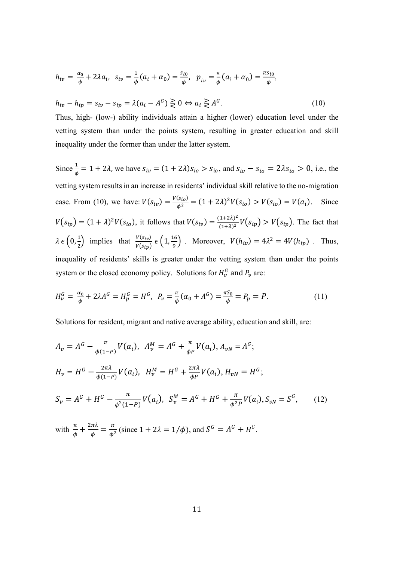$$
h_{iv} = \frac{\alpha_0}{\phi} + 2\lambda a_i, \ \ s_{iv} = \frac{1}{\phi}(a_i + a_0) = \frac{s_{io}}{\phi}, \ \ p_{iv} = \frac{\pi}{\phi}(a_i + a_0) = \frac{\pi s_{io}}{\phi},
$$

$$
h_{iv} - h_{ip} = s_{iv} - s_{ip} = \lambda (a_i - A^c) \gtrless 0 \Leftrightarrow a_i \gtrless A^c.
$$
 (10)

Thus, high- (low-) ability individuals attain a higher (lower) education level under the vetting system than under the points system, resulting in greater education and skill inequality under the former than under the latter system.

Since  $\frac{1}{\phi} = 1 + 2\lambda$ , we have  $s_{iv} = (1 + 2\lambda)s_{io} > s_{io}$ , and  $s_{iv} - s_{io} = 2\lambda s_{io} > 0$ , i.e., the vetting system results in an increase in residents' individual skill relative to the no-migration case. From (10), we have:  $V(s_{iv}) = \frac{V(s_{io})}{\phi^2} = (1 + 2\lambda)^2 V(s_{io}) > V(s_{io}) = V(a_i)$ . Since  $V(s_{ip}) = (1 + \lambda)^2 V(s_{io})$ , it follows that  $V(s_{ip}) = \frac{(1 + 2\lambda)^2}{(1 + \lambda)^2} V(s_{ip}) > V(s_{ip})$ . The fact that  $\lambda \epsilon \left(0, \frac{1}{2}\right)$  implies that  $\frac{V(s_{iv})}{V(s_{ip})} \epsilon \left(1, \frac{16}{9}\right)$ . Moreover,  $V(h_{iv}) = 4\lambda^2 = 4V(h_{ip})$ . Thus, inequality of residents' skills is greater under the vetting system than under the points system or the closed economy policy. Solutions for  $H_v^G$  and  $P_v$  are:

$$
H_{\nu}^{G} = \frac{\alpha_{0}}{\phi} + 2\lambda A^{G} = H_{p}^{G} = H^{G}, \ P_{\nu} = \frac{\pi}{\phi}(\alpha_{0} + A^{G}) = \frac{\pi S_{0}}{\phi} = P_{p} = P.
$$
 (11)

Solutions for resident, migrant and native average ability, education and skill, are:

$$
A_v = A^G - \frac{\pi}{\phi(1-p)} V(a_i), \quad A_v^M = A^G + \frac{\pi}{\phi_P} V(a_i), \quad A_{vN} = A^G;
$$
  
\n
$$
H_v = H^G - \frac{2\pi\lambda}{\phi(1-p)} V(a_i), \quad H_v^M = H^G + \frac{2\pi\lambda}{\phi_P} V(a_i), \quad H_{vN} = H^G;
$$
  
\n
$$
S_v = A^G + H^G - \frac{\pi}{\phi^2(1-p)} V(a_i), \quad S_v^M = A^G + H^G + \frac{\pi}{\phi^2_P} V(a_i), \quad S_{vN} = S^G,
$$
 (12)  
\nwith  $\frac{\pi}{\phi} + \frac{2\pi\lambda}{\phi} = \frac{\pi}{\phi^2}$  (since  $1 + 2\lambda = 1/\phi$ ), and  $S^G = A^G + H^G$ .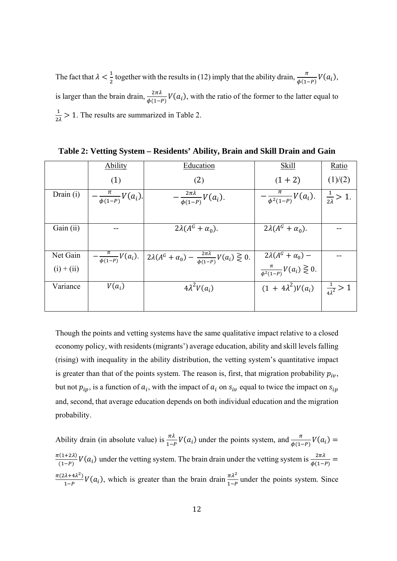The fact that  $\lambda < \frac{1}{2}$  together with the results in (12) imply that the ability drain,  $\frac{\pi}{\phi(1-P)}V(a_i)$ , is larger than the brain drain,  $\frac{2\pi\lambda}{\phi(1-P)}V(a_i)$ , with the ratio of the former to the latter equal to  $\frac{1}{24}$  > 1. The results are summarized in Table 2.

|              | <b>Ability</b>                 | Education                                                                                              | <b>Skill</b>                                                           | Ratio                     |
|--------------|--------------------------------|--------------------------------------------------------------------------------------------------------|------------------------------------------------------------------------|---------------------------|
|              | (1)                            | (2)                                                                                                    | $(1 + 2)$                                                              | (1)/(2)                   |
| Drain $(i)$  | $\frac{\pi}{\phi(1-P)}V(a_i).$ | $-\frac{2\pi\lambda}{\phi(1-P)}V(a_i).$                                                                | $-\frac{\pi}{\phi^2(1-P)}V(a_i).$                                      | $\frac{1}{2\lambda}$ > 1. |
|              |                                |                                                                                                        |                                                                        |                           |
| Gain (ii)    |                                | $2\lambda(A^G+\alpha_0).$                                                                              | $2\lambda(A^G+\alpha_0).$                                              |                           |
|              |                                |                                                                                                        |                                                                        |                           |
| Net Gain     |                                | $-\frac{\pi}{\phi(1-P)}V(a_i)$ . $2\lambda(A^G+\alpha_0)-\frac{2\pi\lambda}{\phi(1-P)}V(a_i) \geq 0$ . |                                                                        |                           |
| $(i) + (ii)$ |                                |                                                                                                        | $2\lambda(A^G + \alpha_0)$ –<br>$\frac{\pi}{\phi^2(1-P)}V(a_i) \ge 0.$ |                           |
| Variance     | $V(a_i)$                       | $4\lambda^2 V(a_i)$                                                                                    | $(1 + 4\lambda^2)V(a_i)$ $\frac{1}{4\lambda^2} > 1$                    |                           |
|              |                                |                                                                                                        |                                                                        |                           |

Table 2: Vetting System - Residents' Ability, Brain and Skill Drain and Gain

Though the points and vetting systems have the same qualitative impact relative to a closed economy policy, with residents (migrants') average education, ability and skill levels falling (rising) with inequality in the ability distribution, the vetting system's quantitative impact is greater than that of the points system. The reason is, first, that migration probability  $p_{iv}$ , but not  $p_{ip}$ , is a function of  $a_i$ , with the impact of  $a_i$  on  $s_{iv}$  equal to twice the impact on  $s_{ip}$ and, second, that average education depends on both individual education and the migration probability.

Ability drain (in absolute value) is  $\frac{\pi\lambda}{1-P}V(a_i)$  under the points system, and  $\frac{\pi}{\phi(1-P)}V(a_i)$  =  $\frac{\pi(1+2\lambda)}{(1-p)}V(a_i)$  under the vetting system. The brain drain under the vetting system is  $\frac{2\pi\lambda}{\phi(1-p)}$  =  $\frac{\pi(2\lambda+4\lambda^2)}{1-P}V(a_i)$ , which is greater than the brain drain  $\frac{\pi\lambda^2}{1-P}$  under the points system. Since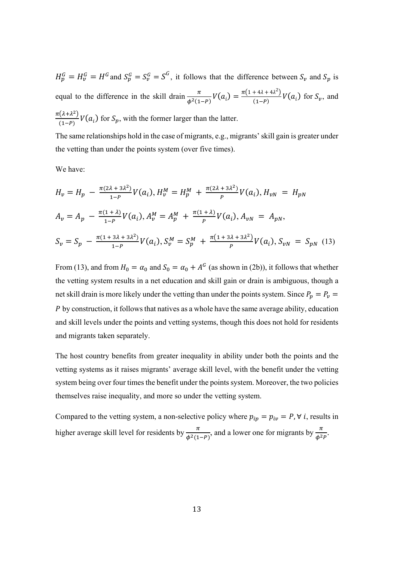$H_p^G = H_v^G = H^G$  and  $S_p^G = S_v^G = S^G$ , it follows that the difference between  $S_v$  and  $S_p$  is equal to the difference in the skill drain  $\frac{\pi}{\phi^2(1-P)}V(a_i) = \frac{\pi(1+4\lambda+4\lambda^2)}{(1-P)}V(a_i)$  for  $S_\nu$ , and  $\frac{\pi(\lambda+\lambda^2)}{(1-P)}V(a_i)$  for  $S_p$ , with the former larger than the latter.

The same relationships hold in the case of migrants, e.g., migrants' skill gain is greater under the vetting than under the points system (over five times).

We have:

$$
H_v = H_p - \frac{\pi (2\lambda + 3\lambda^2)}{1 - P} V(a_i), H_v^M = H_p^M + \frac{\pi (2\lambda + 3\lambda^2)}{P} V(a_i), H_{vN} = H_{pN}
$$
  
\n
$$
A_v = A_p - \frac{\pi (1 + \lambda)}{1 - P} V(a_i), A_v^M = A_p^M + \frac{\pi (1 + \lambda)}{P} V(a_i), A_{vN} = A_{pN},
$$
  
\n
$$
S_v = S_p - \frac{\pi (1 + 3\lambda + 3\lambda^2)}{1 - P} V(a_i), S_v^M = S_p^M + \frac{\pi (1 + 3\lambda + 3\lambda^2)}{P} V(a_i), S_{vN} = S_{pN}
$$
 (13)

From (13), and from  $H_0 = \alpha_0$  and  $S_0 = \alpha_0 + A^c$  (as shown in (2b)), it follows that whether the vetting system results in a net education and skill gain or drain is ambiguous, though a net skill drain is more likely under the vetting than under the points system. Since  $P_p = P_v$ ܲ by construction, it follows that natives as a whole have the same average ability, education and skill levels under the points and vetting systems, though this does not hold for residents and migrants taken separately.

The host country benefits from greater inequality in ability under both the points and the vetting systems as it raises migrants' average skill level, with the benefit under the vetting system being over four times the benefit under the points system. Moreover, the two policies themselves raise inequality, and more so under the vetting system.

Compared to the vetting system, a non-selective policy where  $p_{ip} = p_{iv} = P$ ,  $\forall i$ , results in higher average skill level for residents by  $\frac{\pi}{\phi^2(1-P)}$ , and a lower one for migrants by  $\frac{\pi}{\phi^2 P}$ .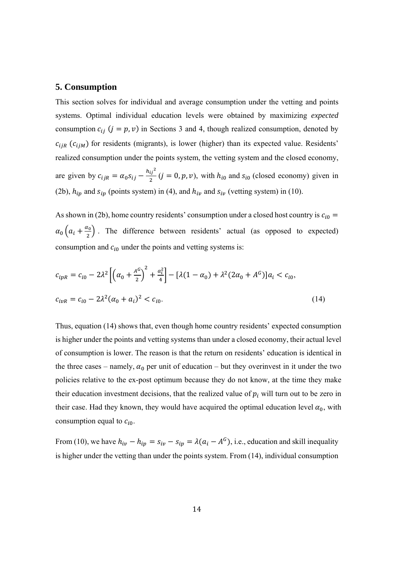#### 5. Consumption

This section solves for individual and average consumption under the vetting and points systems. Optimal individual education levels were obtained by maximizing *expected* consumption  $c_{ij}$  ( $j = p, v$ ) in Sections 3 and 4, though realized consumption, denoted by  $c_{ijR}$  ( $c_{ijM}$ ) for residents (migrants), is lower (higher) than its expected value. Residents' realized consumption under the points system, the vetting system and the closed economy, are given by  $c_{ijk} = \alpha_0 s_{ij} - \frac{h_{ij}^2}{2} (j = 0, p, v)$ , with  $h_{i0}$  and  $s_{i0}$  (closed economy) given in (2b),  $h_{ip}$  and  $s_{ip}$  (points system) in (4), and  $h_{iv}$  and  $s_{iv}$  (vetting system) in (10).

As shown in (2b), home country residents' consumption under a closed host country is  $c_{i0}$  =  $\alpha_0(a_i + \frac{\alpha_0}{2})$ . The difference between residents' actual (as opposed to expected) consumption and  $c_{i0}$  under the points and vetting systems is:

$$
c_{ipR} = c_{i0} - 2\lambda^2 \left[ \left( \alpha_0 + \frac{A^G}{2} \right)^2 + \frac{a_i^2}{4} \right] - \left[ \lambda (1 - \alpha_0) + \lambda^2 (2\alpha_0 + A^G) \right] a_i < c_{i0},
$$
\n
$$
c_{ipR} = c_{i0} - 2\lambda^2 (\alpha_0 + a_i)^2 < c_{i0}.\tag{14}
$$

Thus, equation (14) shows that, even though home country residents' expected consumption is higher under the points and vetting systems than under a closed economy, their actual level of consumption is lower. The reason is that the return on residents' education is identical in the three cases – namely,  $\alpha_0$  per unit of education – but they overinvest in it under the two policies relative to the ex-post optimum because they do not know, at the time they make their education investment decisions, that the realized value of  $p_i$  will turn out to be zero in their case. Had they known, they would have acquired the optimal education level  $\alpha_0$ , with consumption equal to  $c_{i0}$ .

From (10), we have  $h_{iv} - h_{ip} = s_{iv} - s_{ip} = \lambda (a_i - A^c)$ , i.e., education and skill inequality is higher under the vetting than under the points system. From (14), individual consumption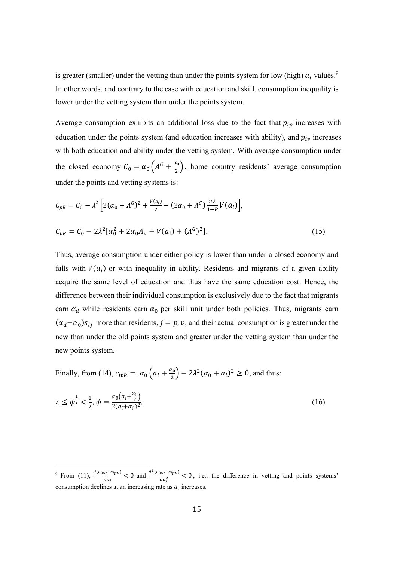is greater (smaller) under the vetting than under the points system for low (high)  $a_i$  values.<sup>9</sup> In other words, and contrary to the case with education and skill, consumption inequality is lower under the vetting system than under the points system.

Average consumption exhibits an additional loss due to the fact that  $p_{ip}$  increases with education under the points system (and education increases with ability), and  $p_{iv}$  increases with both education and ability under the vetting system. With average consumption under the closed economy  $C_0 = \alpha_0 \left( A^G + \frac{\alpha_0}{2} \right)$ , home country residents' average consumption under the points and vetting systems is:

$$
C_{pR} = C_0 - \lambda^2 \left[ 2(\alpha_0 + A^G)^2 + \frac{V(a_i)}{2} - (2\alpha_0 + A^G) \frac{\pi \lambda}{1 - P} V(a_i) \right],
$$
  
\n
$$
C_{vR} = C_0 - 2\lambda^2 [\alpha_0^2 + 2\alpha_0 A_v + V(a_i) + (A^G)^2].
$$
\n(15)

Thus, average consumption under either policy is lower than under a closed economy and falls with  $V(a_i)$  or with inequality in ability. Residents and migrants of a given ability acquire the same level of education and thus have the same education cost. Hence, the difference between their individual consumption is exclusively due to the fact that migrants earn  $\alpha_d$  while residents earn  $\alpha_0$  per skill unit under both policies. Thus, migrants earn  $(\alpha_d - \alpha_0) s_{ij}$  more than residents,  $j = p, v$ , and their actual consumption is greater under the new than under the old points system and greater under the vetting system than under the new points system.

Finally, from (14),  $c_{ivR} = \alpha_0 \left( a_i + \frac{\alpha_0}{2} \right) - 2\lambda^2 (\alpha_0 + \alpha_i)^2 \ge 0$ , and thus:

$$
\lambda \le \psi^{\frac{1}{2}} < \frac{1}{2}, \psi = \frac{\alpha_0 (a_i + \frac{\alpha_0}{2})}{2(a_i + \alpha_0)^2}.\tag{16}
$$

<sup>&</sup>lt;sup>9</sup> From (11),  $\frac{\partial (c_{ivR} - c_{ipR})}{\partial a_i} < 0$  and  $\frac{\partial^2 (c_{ivR} - c_{ipR})}{\partial a_i^2} < 0$ , i.e., the difference in vetting and points systems' consumption declines at an increasing rate as  $a_i$  increases.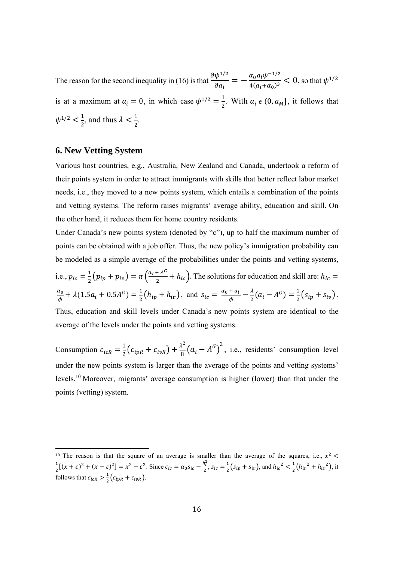The reason for the second inequality in (16) is that  $\frac{\partial \psi^{1/2}}{\partial a_i} = -\frac{\alpha_0 a_i \psi^{-1/2}}{4(a_i + \alpha_0)^3} < 0$ , so that  $\psi^{1/2}$ is at a maximum at  $a_i = 0$ , in which case  $\psi^{1/2} = \frac{1}{2}$ . With  $a_i \in (0, a_M]$ , it follows that  $\psi^{1/2} < \frac{1}{2}$ , and thus  $\lambda < \frac{1}{2}$ 

#### **6. New Vetting System**

Various host countries, e.g., Australia, New Zealand and Canada, undertook a reform of their points system in order to attract immigrants with skills that better reflect labor market needs, i.e., they moved to a new points system, which entails a combination of the points and vetting systems. The reform raises migrants' average ability, education and skill. On the other hand, it reduces them for home country residents.

Under Canada's new points system (denoted by "c"), up to half the maximum number of points can be obtained with a job offer. Thus, the new policy's immigration probability can be modeled as a simple average of the probabilities under the points and vetting systems, i.e.,  $p_{ic} = \frac{1}{2}(p_{ip} + p_{iv}) = \pi \left(\frac{a_i + A^G}{2} + h_{ic}\right)$ . The solutions for education and skill are:  $h_{ic} =$  $\frac{\alpha_0}{\phi} + \lambda (1.5a_i + 0.5A^c) = \frac{1}{2} (h_{ip} + h_{iv}),$  and  $s_{ic} = \frac{\alpha_0 + a_i}{\phi} - \frac{\lambda}{2} (a_i - A^c) = \frac{1}{2} (s_{ip} + s_{iv}).$ Thus, education and skill levels under Canada's new points system are identical to the average of the levels under the points and vetting systems.

Consumption  $c_{icR} = \frac{1}{2}(c_{ipR} + c_{ivR}) + \frac{\lambda^2}{8}(a_i - A^G)^2$ , i.e., residents' consumption level under the new points system is larger than the average of the points and vetting systems' levels.<sup>10</sup> Moreover, migrants' average consumption is higher (lower) than that under the points (vetting) system.

<sup>&</sup>lt;sup>10</sup> The reason is that the square of an average is smaller than the average of the squares, i.e.,  $x^2 < \frac{1}{2}[(x+\epsilon)^2 + (x-\epsilon)^2] = x^2 + \epsilon^2$ . Since  $c_{ic} = \alpha_0 s_{ic} - \frac{h_i^2}{2}$ ,  $s_{ic} = \frac{1}{2}(s_{ip} + s_{iv})$ , and  $h_{ic}^2 < \frac{1}{2}(h_{iv}^2$ follows that  $c_{icR} > \frac{1}{2} (c_{ipR} + c_{ivR})$ .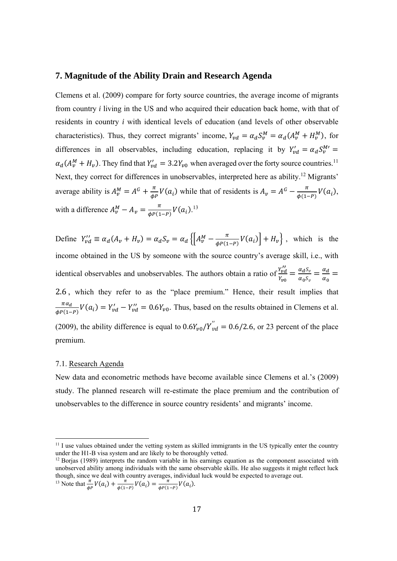#### 7. Magnitude of the Ability Drain and Research Agenda

Clemens et al. (2009) compare for forty source countries, the average income of migrants from country *i* living in the US and who acquired their education back home, with that of residents in country *i* with identical levels of education (and levels of other observable characteristics). Thus, they correct migrants' income,  $Y_{vd} = \alpha_d S_v^M = \alpha_d (A_v^M + H_v^M)$ , for differences in all observables, including education, replacing it by  $Y'_{vd} = \alpha_d S_v^{M'} =$  $\alpha_d(A_v^M + H_v)$ . They find that  $Y_{vd} = 3.2Y_{v0}$  when averaged over the forty source countries.<sup>11</sup> Next, they correct for differences in unobservables, interpreted here as ability.<sup>12</sup> Migrants' average ability is  $A_v^M = A^G + \frac{\pi}{\phi P} V(a_i)$  while that of residents is  $A_v = A^G - \frac{\pi}{\phi(1-P)} V(a_i)$ , with a difference  $A_v^M - A_v = \frac{\pi}{\phi P(1-P)} V(a_i).^{13}$ 

Define  $Y_{\nu d}^{\prime\prime} \equiv \alpha_d (A_\nu + H_\nu) = \alpha_d S_\nu = \alpha_d \left\{ \left[ A_\nu^M - \frac{\pi}{\phi P(1-P)} V(a_i) \right] + H_\nu \right\}$ , which is the income obtained in the US by someone with the source country's average skill, i.e., with identical observables and unobservables. The authors obtain a ratio of  $\frac{Y''_{\nu d}}{Y_{\nu \alpha}} = \frac{\alpha_d S_{\nu}}{\alpha_s S} = \frac{\alpha_d}{\alpha}$ 2.6, which they refer to as the "place premium." Hence, their result implies that  $\frac{\pi a_d}{\phi P(1-P)}V(a_i) = Y'_{vd} - Y''_{vd} = 0.6Y_{v0}$ . Thus, based on the results obtained in Clemens et al. (2009), the ability difference is equal to  $0.6Y_{\nu 0}/Y_{\nu d}^{\prime\prime} = 0.6/2.6$ , or 23 percent of the place premium.

#### 7.1. Research Agenda

New data and econometric methods have become available since Clemens et al.'s (2009) study. The planned research will re-estimate the place premium and the contribution of unobservables to the difference in source country residents' and migrants' income.

<sup>13</sup> Note that 
$$
\frac{d}{dp}V(a_i) + \frac{d}{dp(a_i-p)}V(a_i) = \frac{d}{dp(a_i-p)}V(a_i)
$$
.

<sup>&</sup>lt;sup>11</sup> I use values obtained under the vetting system as skilled immigrants in the US typically enter the country under the H1-B visa system and are likely to be thoroughly vetted.

 $12$  Borjas (1989) interprets the random variable in his earnings equation as the component associated with unobserved ability among individuals with the same observable skills. He also suggests it might reflect luck though, since we deal with country averages, individual luck would be expected to average out.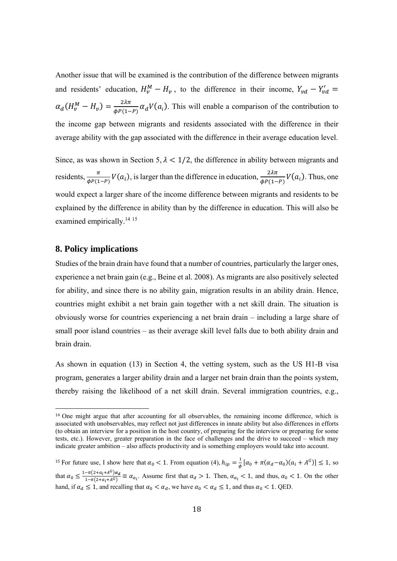Another issue that will be examined is the contribution of the difference between migrants and residents' education,  $H_v^M - H_v$ , to the difference in their income,  $Y_{vd} - Y_{vd}' =$  $\alpha_d(H_v^M - H_v) = \frac{2\lambda\pi}{\Delta P(1-P)} \alpha_d V(a_i)$ . This will enable a comparison of the contribution to the income gap between migrants and residents associated with the difference in their average ability with the gap associated with the difference in their average education level.

Since, as was shown in Section 5,  $\lambda$  < 1/2, the difference in ability between migrants and residents,  $\frac{\pi}{\phi P(1-P)}V(a_i)$ , is larger than the difference in education,  $\frac{2\lambda\pi}{\phi P(1-P)}V(a_i)$ . Thus, one would expect a larger share of the income difference between migrants and residents to be explained by the difference in ability than by the difference in education. This will also be examined empirically.<sup>14 15</sup>

#### 8. Policy implications

Studies of the brain drain have found that a number of countries, particularly the larger ones, experience a net brain gain (e.g., Beine et al. 2008). As migrants are also positively selected for ability, and since there is no ability gain, migration results in an ability drain. Hence, countries might exhibit a net brain gain together with a net skill drain. The situation is obviously worse for countries experiencing a net brain drain – including a large share of small poor island countries – as their average skill level falls due to both ability drain and brain drain.

As shown in equation (13) in Section 4, the vetting system, such as the US H1-B visa program, generates a larger ability drain and a larger net brain drain than the points system, thereby raising the likelihood of a net skill drain. Several immigration countries, e.g.,

<sup>&</sup>lt;sup>14</sup> One might argue that after accounting for all observables, the remaining income difference, which is associated with unobservables, may reflect not just differences in innate ability but also differences in efforts (to obtain an interview for a position in the host country, of preparing for the interview or preparing for some tests, etc.). However, greater preparation in the face of challenges and the drive to succeed – which may indicate greater ambition – also affects productivity and is something employers would take into account.

<sup>&</sup>lt;sup>15</sup> For future use, I show here that  $\alpha_0 < 1$ . From equation (4),  $h_{ip} = \frac{1}{4} [\alpha_0 + \pi (\alpha_d - \alpha_0)(a_i + A^c)] \le 1$ , so that  $\alpha_0 \le \frac{1 - \pi (2 + a_i + A^G)\alpha_d}{1 - \pi (2 + a_i + A^G)} \equiv \alpha_{a_i}$ . Assume first that  $\alpha_d > 1$ . Then,  $\alpha_{a_i} < 1$ , and thus,  $\alpha_0 < 1$ . On the other hand, if  $\alpha_d \le 1$ , and recalling that  $\alpha_0 < \alpha_d$ , we have  $\alpha_0 < \alpha_d \le 1$ , and thus  $\alpha_0 < 1$ . QED.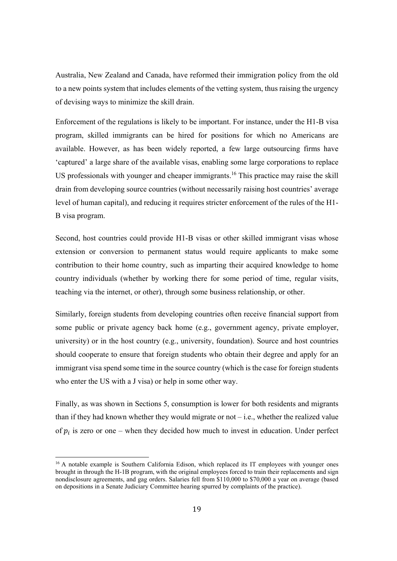Australia, New Zealand and Canada, have reformed their immigration policy from the old to a new points system that includes elements of the vetting system, thus raising the urgency of devising ways to minimize the skill drain.

Enforcement of the regulations is likely to be important. For instance, under the H1-B visa program, skilled immigrants can be hired for positions for which no Americans are available. However, as has been widely reported, a few large outsourcing firms have 'captured' a large share of the available visas, enabling some large corporations to replace US professionals with younger and cheaper immigrants.<sup>16</sup> This practice may raise the skill drain from developing source countries (without necessarily raising host countries' average level of human capital), and reducing it requires stricter enforcement of the rules of the H1- B visa program.

Second, host countries could provide H1-B visas or other skilled immigrant visas whose extension or conversion to permanent status would require applicants to make some contribution to their home country, such as imparting their acquired knowledge to home country individuals (whether by working there for some period of time, regular visits, teaching via the internet, or other), through some business relationship, or other.

Similarly, foreign students from developing countries often receive financial support from some public or private agency back home (e.g., government agency, private employer, university) or in the host country (e.g., university, foundation). Source and host countries should cooperate to ensure that foreign students who obtain their degree and apply for an immigrant visa spend some time in the source country (which is the case for foreign students who enter the US with a J visa) or help in some other way.

Finally, as was shown in Sections 5, consumption is lower for both residents and migrants than if they had known whether they would migrate or not  $-i.e.,$  whether the realized value of  $p_i$  is zero or one – when they decided how much to invest in education. Under perfect

 

<sup>&</sup>lt;sup>16</sup> A notable example is Southern California Edison, which replaced its IT employees with younger ones brought in through the H-1B program, with the original employees forced to train their replacements and sign nondisclosure agreements, and gag orders. Salaries fell from \$110,000 to \$70,000 a year on average (based on depositions in a Senate Judiciary Committee hearing spurred by complaints of the practice).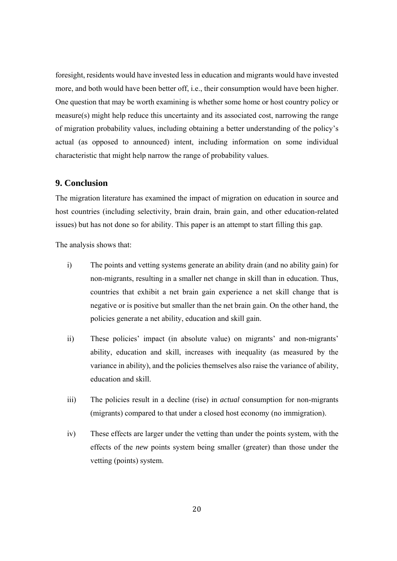foresight, residents would have invested less in education and migrants would have invested more, and both would have been better off, i.e., their consumption would have been higher. One question that may be worth examining is whether some home or host country policy or measure(s) might help reduce this uncertainty and its associated cost, narrowing the range of migration probability values, including obtaining a better understanding of the policy's actual (as opposed to announced) intent, including information on some individual characteristic that might help narrow the range of probability values.

#### **9. Conclusion**

The migration literature has examined the impact of migration on education in source and host countries (including selectivity, brain drain, brain gain, and other education-related issues) but has not done so for ability. This paper is an attempt to start filling this gap.

The analysis shows that:

- i) The points and vetting systems generate an ability drain (and no ability gain) for non-migrants, resulting in a smaller net change in skill than in education. Thus, countries that exhibit a net brain gain experience a net skill change that is negative or is positive but smaller than the net brain gain. On the other hand, the policies generate a net ability, education and skill gain.
- ii) These policies' impact (in absolute value) on migrants' and non-migrants' ability, education and skill, increases with inequality (as measured by the variance in ability), and the policies themselves also raise the variance of ability, education and skill.
- iii) The policies result in a decline (rise) in *actual* consumption for non-migrants (migrants) compared to that under a closed host economy (no immigration).
- iv) These effects are larger under the vetting than under the points system, with the effects of the *new* points system being smaller (greater) than those under the vetting (points) system.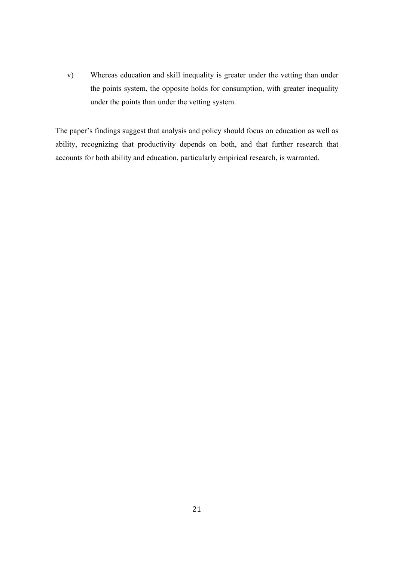v) Whereas education and skill inequality is greater under the vetting than under the points system, the opposite holds for consumption, with greater inequality under the points than under the vetting system.

The paper's findings suggest that analysis and policy should focus on education as well as ability, recognizing that productivity depends on both, and that further research that accounts for both ability and education, particularly empirical research, is warranted.